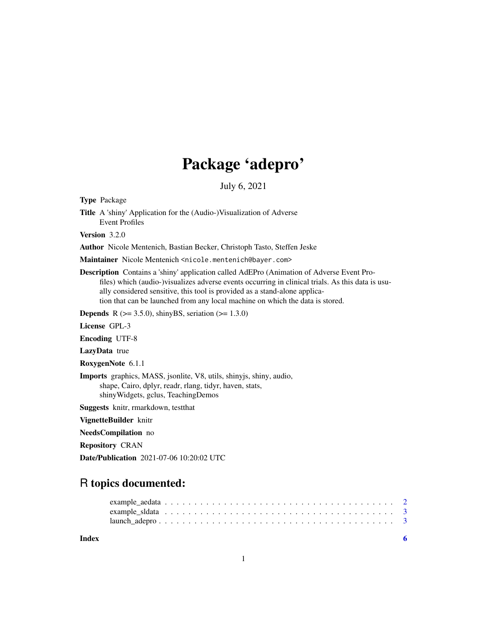## Package 'adepro'

July 6, 2021

Type Package

Title A 'shiny' Application for the (Audio-)Visualization of Adverse Event Profiles

Version 3.2.0

Author Nicole Mentenich, Bastian Becker, Christoph Tasto, Steffen Jeske

Maintainer Nicole Mentenich <nicole.mentenich@bayer.com>

Description Contains a 'shiny' application called AdEPro (Animation of Adverse Event Profiles) which (audio-)visualizes adverse events occurring in clinical trials. As this data is usually considered sensitive, this tool is provided as a stand-alone application that can be launched from any local machine on which the data is stored.

**Depends** R ( $>= 3.5.0$ ), shinyBS, seriation ( $>= 1.3.0$ )

License GPL-3

Encoding UTF-8

LazyData true

RoxygenNote 6.1.1

Imports graphics, MASS, jsonlite, V8, utils, shinyjs, shiny, audio, shape, Cairo, dplyr, readr, rlang, tidyr, haven, stats, shinyWidgets, gclus, TeachingDemos

Suggests knitr, rmarkdown, testthat

VignetteBuilder knitr

NeedsCompilation no

Repository CRAN

Date/Publication 2021-07-06 10:20:02 UTC

### R topics documented:

**Index** [6](#page-5-0) **6**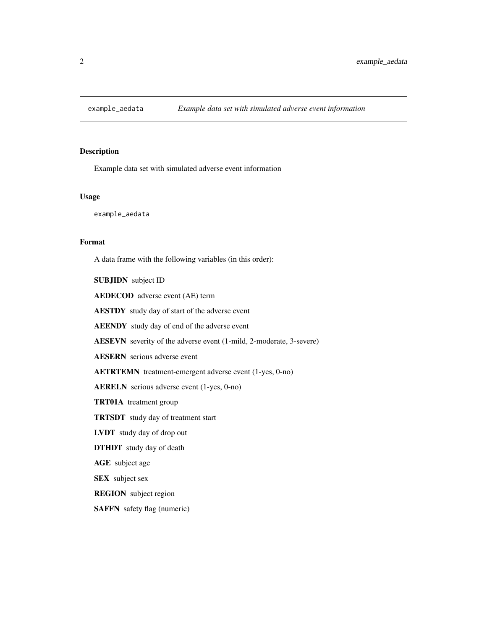<span id="page-1-0"></span>

#### Description

Example data set with simulated adverse event information

#### Usage

example\_aedata

#### Format

A data frame with the following variables (in this order):

SUBJIDN subject ID

AEDECOD adverse event (AE) term

AESTDY study day of start of the adverse event

AEENDY study day of end of the adverse event

AESEVN severity of the adverse event (1-mild, 2-moderate, 3-severe)

AESERN serious adverse event

AETRTEMN treatment-emergent adverse event (1-yes, 0-no)

AERELN serious adverse event (1-yes, 0-no)

TRT01A treatment group

TRTSDT study day of treatment start

LVDT study day of drop out

DTHDT study day of death

AGE subject age

SEX subject sex

REGION subject region

SAFFN safety flag (numeric)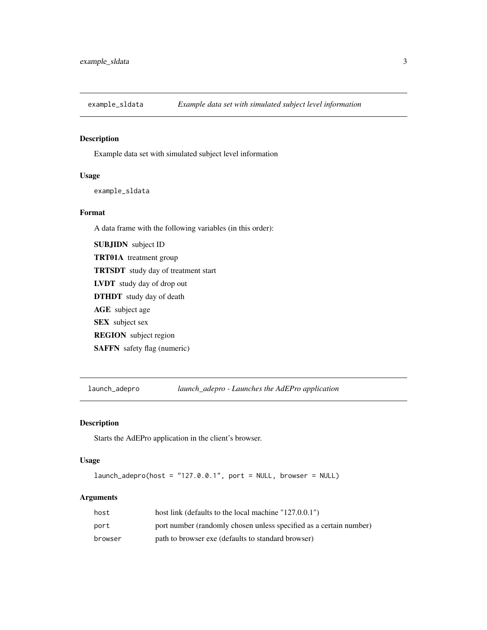<span id="page-2-0"></span>

#### Description

Example data set with simulated subject level information

#### Usage

example\_sldata

#### Format

A data frame with the following variables (in this order):

SUBJIDN subject ID TRT01A treatment group TRTSDT study day of treatment start LVDT study day of drop out DTHDT study day of death AGE subject age SEX subject sex REGION subject region SAFFN safety flag (numeric)

launch\_adepro *launch\_adepro - Launches the AdEPro application*

#### Description

Starts the AdEPro application in the client's browser.

#### Usage

launch\_adepro(host = "127.0.0.1", port = NULL, browser = NULL)

#### Arguments

| host    | host link (defaults to the local machine $"127.0.0.1"$ )           |
|---------|--------------------------------------------------------------------|
| port    | port number (randomly chosen unless specified as a certain number) |
| browser | path to browser exe (defaults to standard browser)                 |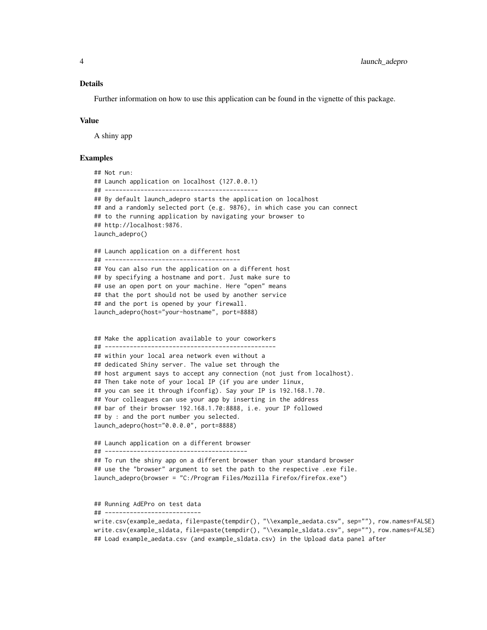#### Details

Further information on how to use this application can be found in the vignette of this package.

#### Value

A shiny app

#### Examples

## Not run: ## Launch application on localhost (127.0.0.1) ## ------------------------------------------- ## By default launch\_adepro starts the application on localhost ## and a randomly selected port (e.g. 9876), in which case you can connect ## to the running application by navigating your browser to ## http://localhost:9876. launch\_adepro() ## Launch application on a different host ## -------------------------------------- ## You can also run the application on a different host ## by specifying a hostname and port. Just make sure to ## use an open port on your machine. Here "open" means ## that the port should not be used by another service ## and the port is opened by your firewall. launch\_adepro(host="your-hostname", port=8888) ## Make the application available to your coworkers ## ------------------------------------------------ ## within your local area network even without a ## dedicated Shiny server. The value set through the ## host argument says to accept any connection (not just from localhost). ## Then take note of your local IP (if you are under linux, ## you can see it through ifconfig). Say your IP is 192.168.1.70. ## Your colleagues can use your app by inserting in the address ## bar of their browser 192.168.1.70:8888, i.e. your IP followed ## by : and the port number you selected. launch\_adepro(host="0.0.0.0", port=8888) ## Launch application on a different browser ## ---------------------------------------- ## To run the shiny app on a different browser than your standard browser ## use the "browser" argument to set the path to the respective .exe file. launch\_adepro(browser = "C:/Program Files/Mozilla Firefox/firefox.exe") ## Running AdEPro on test data ## ---------------------------

write.csv(example\_aedata, file=paste(tempdir(), "\\example\_aedata.csv", sep=""), row.names=FALSE) write.csv(example\_sldata, file=paste(tempdir(), "\\example\_sldata.csv", sep=""), row.names=FALSE) ## Load example\_aedata.csv (and example\_sldata.csv) in the Upload data panel after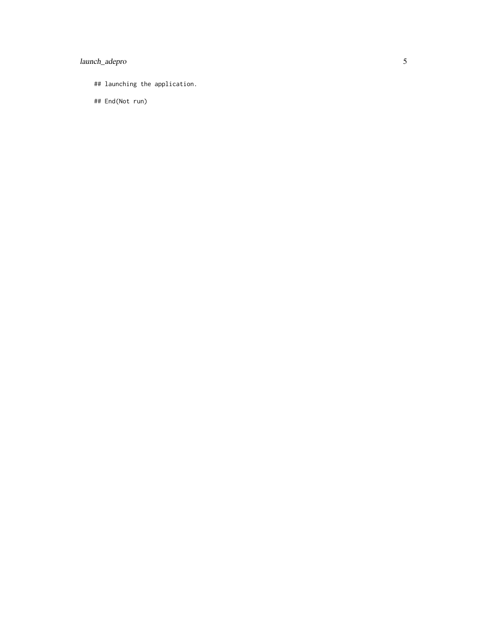#### launch\_adepro

## launching the application.

## End(Not run)